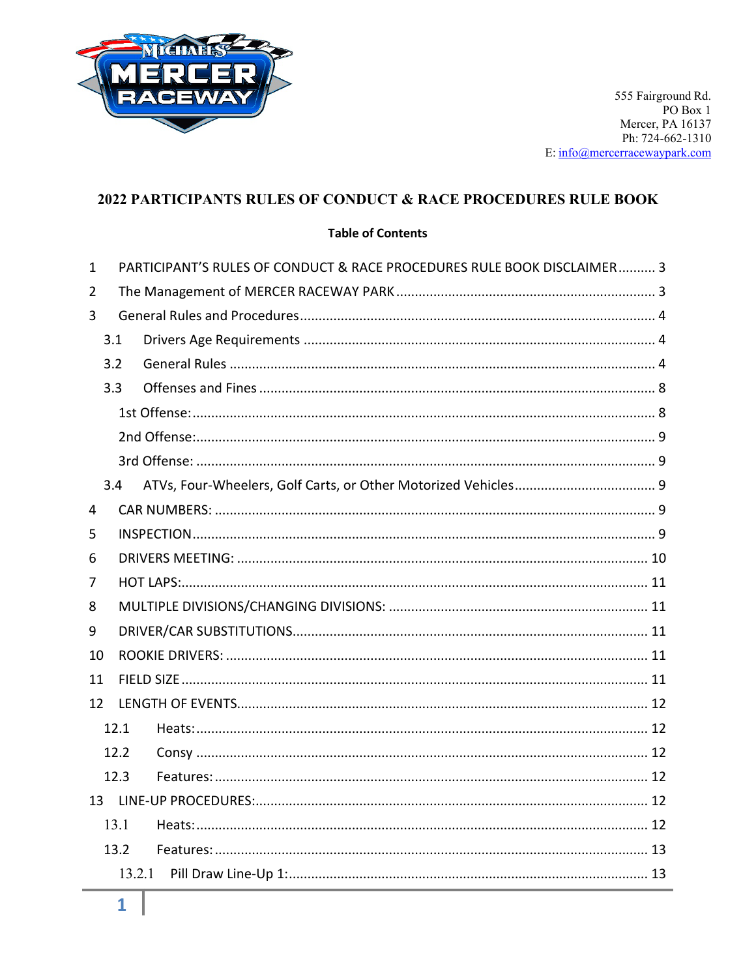

#### 2022 PARTICIPANTS RULES OF CONDUCT & RACE PROCEDURES RULE BOOK

#### **Table of Contents**

| $\mathbf{1}$ |      | PARTICIPANT'S RULES OF CONDUCT & RACE PROCEDURES RULE BOOK DISCLAIMER 3 |  |  |
|--------------|------|-------------------------------------------------------------------------|--|--|
| 2            |      |                                                                         |  |  |
| 3            |      |                                                                         |  |  |
|              | 3.1  |                                                                         |  |  |
|              | 3.2  |                                                                         |  |  |
|              | 3.3  |                                                                         |  |  |
|              |      |                                                                         |  |  |
|              |      |                                                                         |  |  |
|              |      |                                                                         |  |  |
|              | 3.4  |                                                                         |  |  |
| 4            |      |                                                                         |  |  |
| 5            |      |                                                                         |  |  |
| 6            |      |                                                                         |  |  |
| 7            |      |                                                                         |  |  |
| 8            |      |                                                                         |  |  |
| 9            |      |                                                                         |  |  |
| 10           |      |                                                                         |  |  |
| 11           |      |                                                                         |  |  |
| 12           |      |                                                                         |  |  |
|              | 12.1 |                                                                         |  |  |
|              | 12.2 |                                                                         |  |  |
|              | 12.3 |                                                                         |  |  |
|              |      |                                                                         |  |  |
|              | 13.1 |                                                                         |  |  |
|              | 13.2 |                                                                         |  |  |
|              |      | 13.2.1                                                                  |  |  |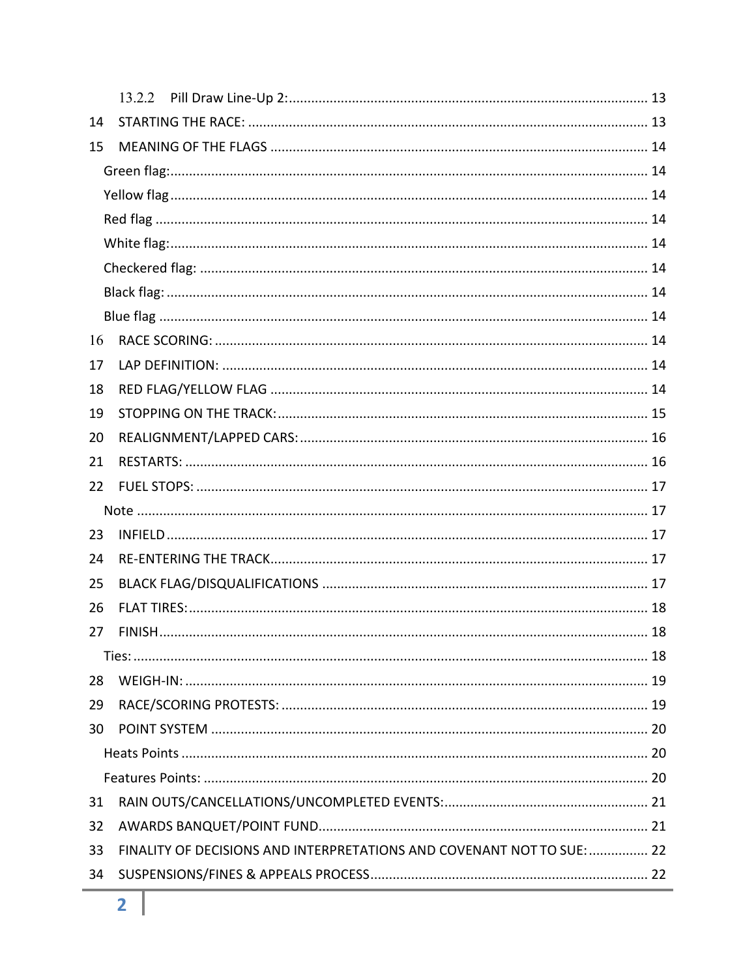| 14 |                                                                        |  |  |  |
|----|------------------------------------------------------------------------|--|--|--|
| 15 |                                                                        |  |  |  |
|    |                                                                        |  |  |  |
|    |                                                                        |  |  |  |
|    |                                                                        |  |  |  |
|    |                                                                        |  |  |  |
|    |                                                                        |  |  |  |
|    |                                                                        |  |  |  |
|    |                                                                        |  |  |  |
| 16 |                                                                        |  |  |  |
| 17 |                                                                        |  |  |  |
| 18 |                                                                        |  |  |  |
| 19 |                                                                        |  |  |  |
| 20 |                                                                        |  |  |  |
| 21 |                                                                        |  |  |  |
| 22 |                                                                        |  |  |  |
|    |                                                                        |  |  |  |
| 23 |                                                                        |  |  |  |
| 24 |                                                                        |  |  |  |
| 25 |                                                                        |  |  |  |
| 26 |                                                                        |  |  |  |
| 27 |                                                                        |  |  |  |
|    |                                                                        |  |  |  |
| 28 |                                                                        |  |  |  |
| 29 |                                                                        |  |  |  |
| 30 |                                                                        |  |  |  |
|    |                                                                        |  |  |  |
|    |                                                                        |  |  |  |
| 31 |                                                                        |  |  |  |
| 32 |                                                                        |  |  |  |
| 33 | FINALITY OF DECISIONS AND INTERPRETATIONS AND COVENANT NOT TO SUE:  22 |  |  |  |
| 34 |                                                                        |  |  |  |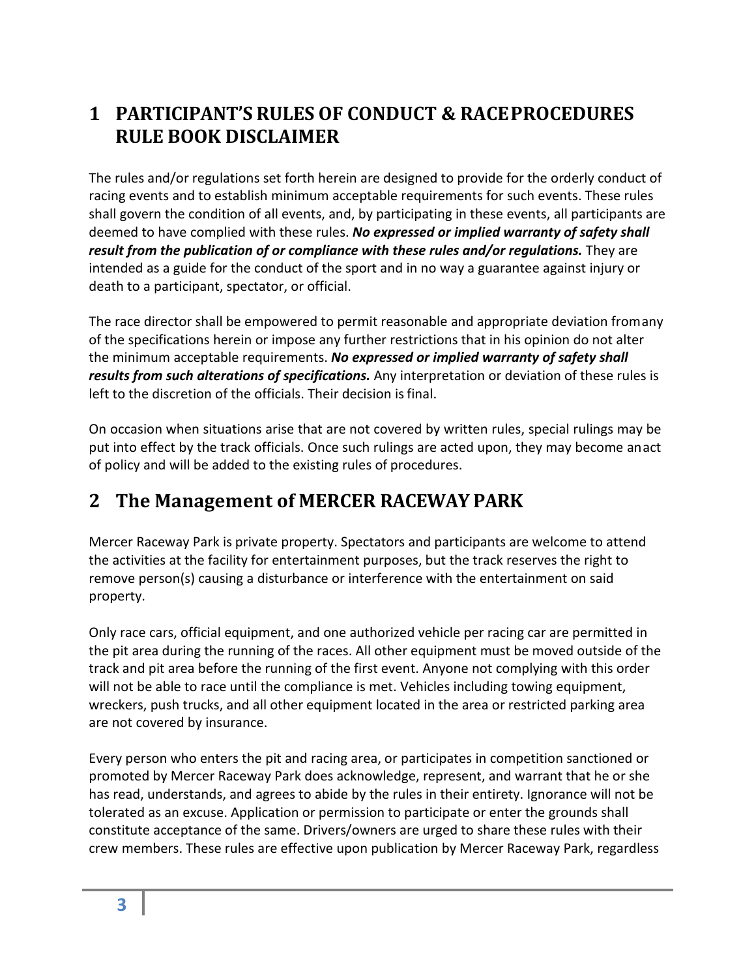## <span id="page-2-0"></span>**1 PARTICIPANT'S RULES OF CONDUCT & RACEPROCEDURES RULE BOOK DISCLAIMER**

The rules and/or regulations set forth herein are designed to provide for the orderly conduct of racing events and to establish minimum acceptable requirements for such events. These rules shall govern the condition of all events, and, by participating in these events, all participants are deemed to have complied with these rules. *No expressed or implied warranty of safety shall result from the publication of or compliance with these rules and/or regulations.* They are intended as a guide for the conduct of the sport and in no way a guarantee against injury or death to a participant, spectator, or official.

The race director shall be empowered to permit reasonable and appropriate deviation fromany of the specifications herein or impose any further restrictions that in his opinion do not alter the minimum acceptable requirements. *No expressed or implied warranty of safety shall results from such alterations of specifications.* Any interpretation or deviation of these rules is left to the discretion of the officials. Their decision is final.

On occasion when situations arise that are not covered by written rules, special rulings may be put into effect by the track officials. Once such rulings are acted upon, they may become anact of policy and will be added to the existing rules of procedures.

## <span id="page-2-1"></span>**2 The Management of MERCER RACEWAY PARK**

Mercer Raceway Park is private property. Spectators and participants are welcome to attend the activities at the facility for entertainment purposes, but the track reserves the right to remove person(s) causing a disturbance or interference with the entertainment on said property.

Only race cars, official equipment, and one authorized vehicle per racing car are permitted in the pit area during the running of the races. All other equipment must be moved outside of the track and pit area before the running of the first event. Anyone not complying with this order will not be able to race until the compliance is met. Vehicles including towing equipment, wreckers, push trucks, and all other equipment located in the area or restricted parking area are not covered by insurance.

Every person who enters the pit and racing area, or participates in competition sanctioned or promoted by Mercer Raceway Park does acknowledge, represent, and warrant that he or she has read, understands, and agrees to abide by the rules in their entirety. Ignorance will not be tolerated as an excuse. Application or permission to participate or enter the grounds shall constitute acceptance of the same. Drivers/owners are urged to share these rules with their crew members. These rules are effective upon publication by Mercer Raceway Park, regardless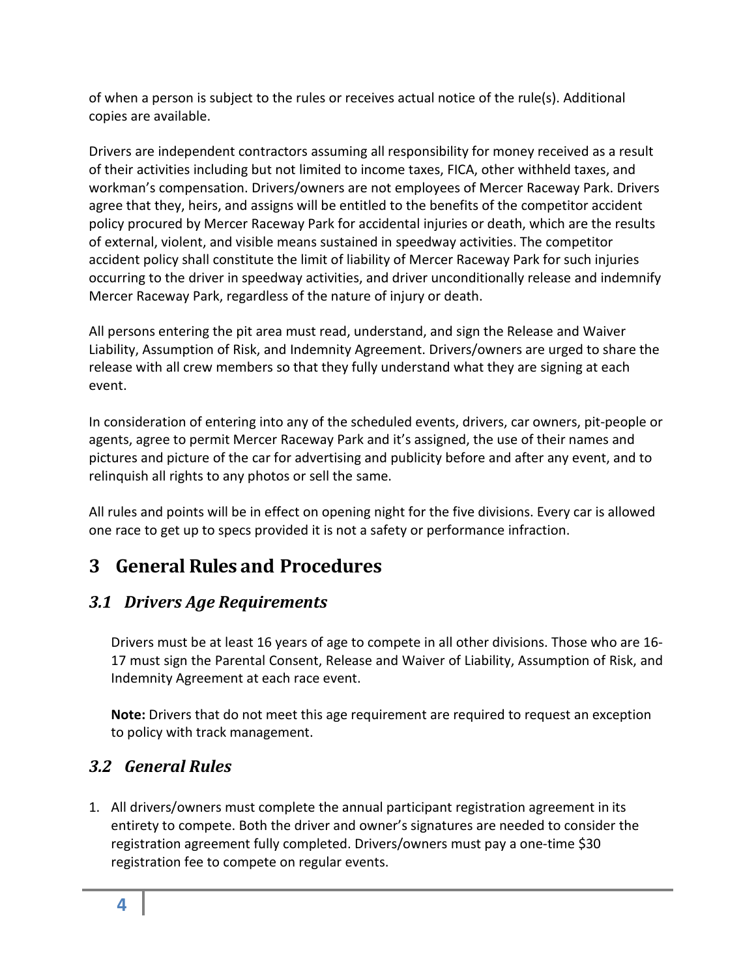of when a person is subject to the rules or receives actual notice of the rule(s). Additional copies are available.

Drivers are independent contractors assuming all responsibility for money received as a result of their activities including but not limited to income taxes, FICA, other withheld taxes, and workman's compensation. Drivers/owners are not employees of Mercer Raceway Park. Drivers agree that they, heirs, and assigns will be entitled to the benefits of the competitor accident policy procured by Mercer Raceway Park for accidental injuries or death, which are the results of external, violent, and visible means sustained in speedway activities. The competitor accident policy shall constitute the limit of liability of Mercer Raceway Park for such injuries occurring to the driver in speedway activities, and driver unconditionally release and indemnify Mercer Raceway Park, regardless of the nature of injury or death.

All persons entering the pit area must read, understand, and sign the Release and Waiver Liability, Assumption of Risk, and Indemnity Agreement. Drivers/owners are urged to share the release with all crew members so that they fully understand what they are signing at each event.

In consideration of entering into any of the scheduled events, drivers, car owners, pit-people or agents, agree to permit Mercer Raceway Park and it's assigned, the use of their names and pictures and picture of the car for advertising and publicity before and after any event, and to relinquish all rights to any photos or sell the same.

All rules and points will be in effect on opening night for the five divisions. Every car is allowed one race to get up to specs provided it is not a safety or performance infraction.

## <span id="page-3-0"></span>**3 General Rules and Procedures**

### <span id="page-3-1"></span>*3.1 Drivers Age Requirements*

Drivers must be at least 16 years of age to compete in all other divisions. Those who are 16- 17 must sign the Parental Consent, Release and Waiver of Liability, Assumption of Risk, and Indemnity Agreement at each race event.

**Note:** Drivers that do not meet this age requirement are required to request an exception to policy with track management.

### <span id="page-3-2"></span>*3.2 General Rules*

1. All drivers/owners must complete the annual participant registration agreement in its entirety to compete. Both the driver and owner's signatures are needed to consider the registration agreement fully completed. Drivers/owners must pay a one-time \$30 registration fee to compete on regular events.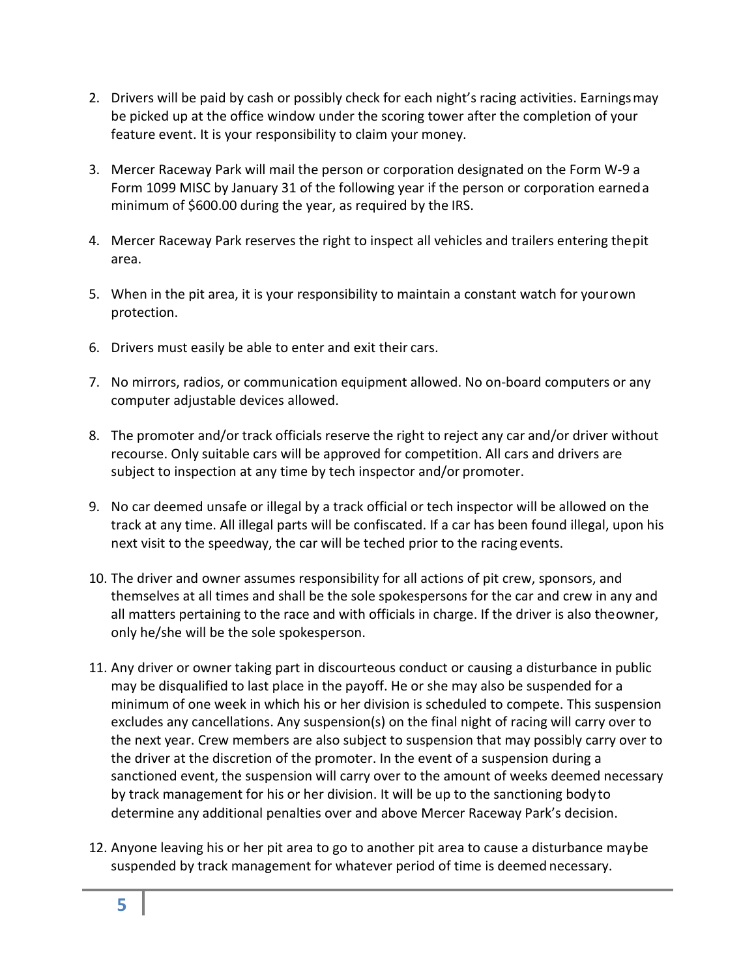- 2. Drivers will be paid by cash or possibly check for each night's racing activities. Earningsmay be picked up at the office window under the scoring tower after the completion of your feature event. It is your responsibility to claim your money.
- 3. Mercer Raceway Park will mail the person or corporation designated on the Form W-9 a Form 1099 MISC by January 31 of the following year if the person or corporation earneda minimum of \$600.00 during the year, as required by the IRS.
- 4. Mercer Raceway Park reserves the right to inspect all vehicles and trailers entering thepit area.
- 5. When in the pit area, it is your responsibility to maintain a constant watch for yourown protection.
- 6. Drivers must easily be able to enter and exit their cars.
- 7. No mirrors, radios, or communication equipment allowed. No on-board computers or any computer adjustable devices allowed.
- 8. The promoter and/or track officials reserve the right to reject any car and/or driver without recourse. Only suitable cars will be approved for competition. All cars and drivers are subject to inspection at any time by tech inspector and/or promoter.
- 9. No car deemed unsafe or illegal by a track official or tech inspector will be allowed on the track at any time. All illegal parts will be confiscated. If a car has been found illegal, upon his next visit to the speedway, the car will be teched prior to the racing events.
- 10. The driver and owner assumes responsibility for all actions of pit crew, sponsors, and themselves at all times and shall be the sole spokespersons for the car and crew in any and all matters pertaining to the race and with officials in charge. If the driver is also theowner, only he/she will be the sole spokesperson.
- 11. Any driver or owner taking part in discourteous conduct or causing a disturbance in public may be disqualified to last place in the payoff. He or she may also be suspended for a minimum of one week in which his or her division is scheduled to compete. This suspension excludes any cancellations. Any suspension(s) on the final night of racing will carry over to the next year. Crew members are also subject to suspension that may possibly carry over to the driver at the discretion of the promoter. In the event of a suspension during a sanctioned event, the suspension will carry over to the amount of weeks deemed necessary by track management for his or her division. It will be up to the sanctioning bodyto determine any additional penalties over and above Mercer Raceway Park's decision.
- 12. Anyone leaving his or her pit area to go to another pit area to cause a disturbance maybe suspended by track management for whatever period of time is deemed necessary.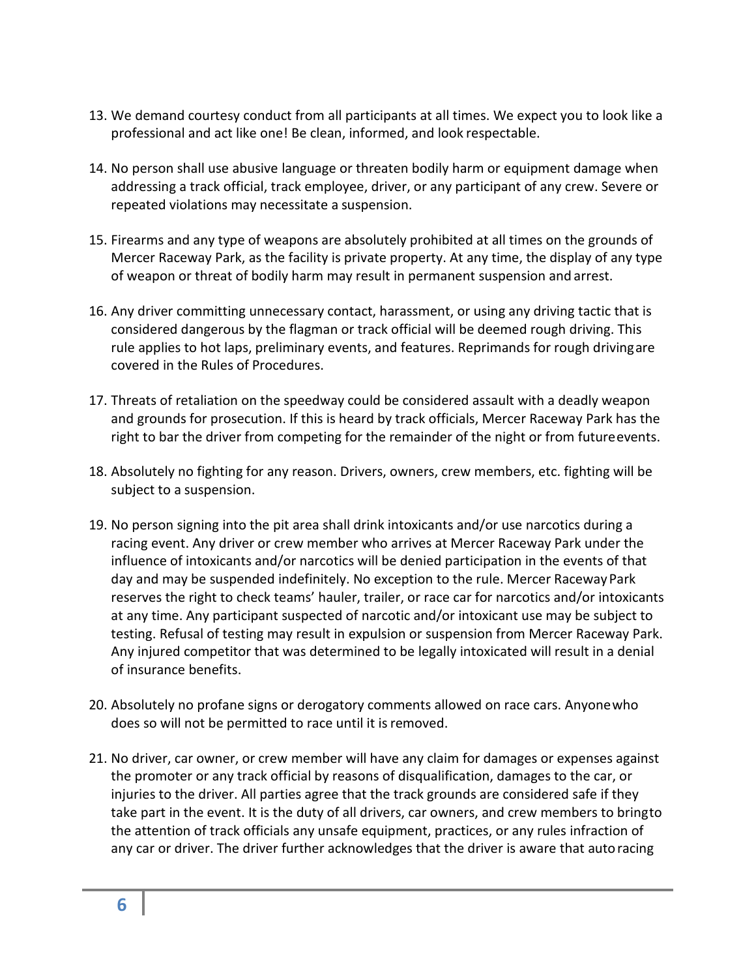- 13. We demand courtesy conduct from all participants at all times. We expect you to look like a professional and act like one! Be clean, informed, and look respectable.
- 14. No person shall use abusive language or threaten bodily harm or equipment damage when addressing a track official, track employee, driver, or any participant of any crew. Severe or repeated violations may necessitate a suspension.
- 15. Firearms and any type of weapons are absolutely prohibited at all times on the grounds of Mercer Raceway Park, as the facility is private property. At any time, the display of any type of weapon or threat of bodily harm may result in permanent suspension and arrest.
- 16. Any driver committing unnecessary contact, harassment, or using any driving tactic that is considered dangerous by the flagman or track official will be deemed rough driving. This rule applies to hot laps, preliminary events, and features. Reprimands for rough drivingare covered in the Rules of Procedures.
- 17. Threats of retaliation on the speedway could be considered assault with a deadly weapon and grounds for prosecution. If this is heard by track officials, Mercer Raceway Park has the right to bar the driver from competing for the remainder of the night or from futureevents.
- 18. Absolutely no fighting for any reason. Drivers, owners, crew members, etc. fighting will be subject to a suspension.
- 19. No person signing into the pit area shall drink intoxicants and/or use narcotics during a racing event. Any driver or crew member who arrives at Mercer Raceway Park under the influence of intoxicants and/or narcotics will be denied participation in the events of that day and may be suspended indefinitely. No exception to the rule. Mercer RacewayPark reserves the right to check teams' hauler, trailer, or race car for narcotics and/or intoxicants at any time. Any participant suspected of narcotic and/or intoxicant use may be subject to testing. Refusal of testing may result in expulsion or suspension from Mercer Raceway Park. Any injured competitor that was determined to be legally intoxicated will result in a denial of insurance benefits.
- 20. Absolutely no profane signs or derogatory comments allowed on race cars. Anyonewho does so will not be permitted to race until it isremoved.
- 21. No driver, car owner, or crew member will have any claim for damages or expenses against the promoter or any track official by reasons of disqualification, damages to the car, or injuries to the driver. All parties agree that the track grounds are considered safe if they take part in the event. It is the duty of all drivers, car owners, and crew members to bringto the attention of track officials any unsafe equipment, practices, or any rules infraction of any car or driver. The driver further acknowledges that the driver is aware that autoracing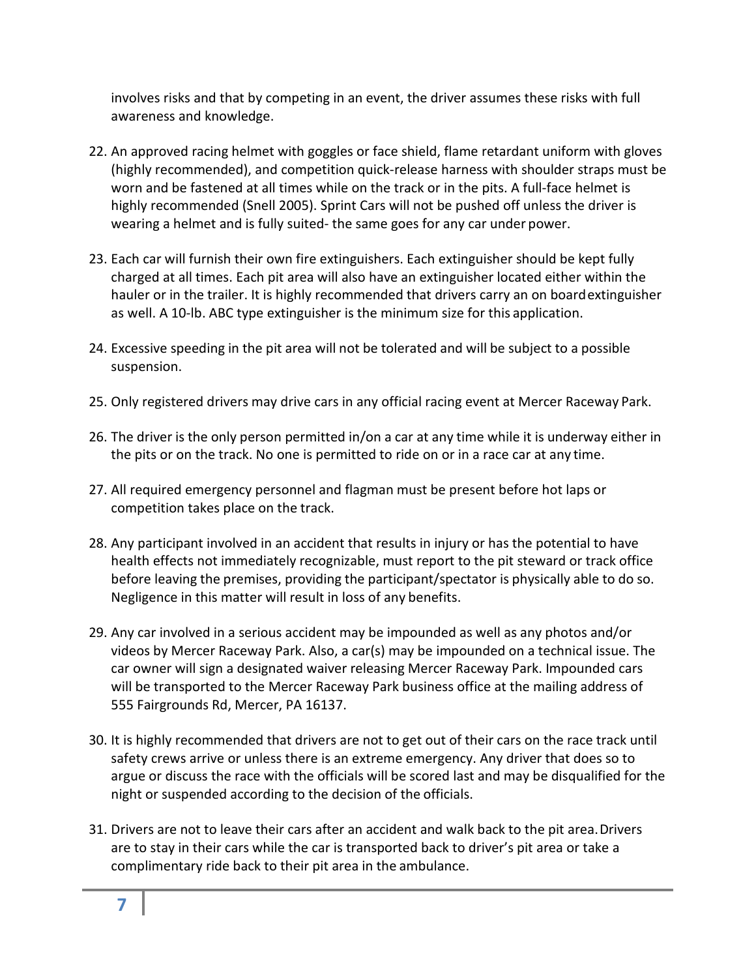involves risks and that by competing in an event, the driver assumes these risks with full awareness and knowledge.

- 22. An approved racing helmet with goggles or face shield, flame retardant uniform with gloves (highly recommended), and competition quick-release harness with shoulder straps must be worn and be fastened at all times while on the track or in the pits. A full-face helmet is highly recommended (Snell 2005). Sprint Cars will not be pushed off unless the driver is wearing a helmet and is fully suited- the same goes for any car under power.
- 23. Each car will furnish their own fire extinguishers. Each extinguisher should be kept fully charged at all times. Each pit area will also have an extinguisher located either within the hauler or in the trailer. It is highly recommended that drivers carry an on boardextinguisher as well. A 10-lb. ABC type extinguisher is the minimum size for this application.
- 24. Excessive speeding in the pit area will not be tolerated and will be subject to a possible suspension.
- 25. Only registered drivers may drive cars in any official racing event at Mercer Raceway Park.
- 26. The driver is the only person permitted in/on a car at any time while it is underway either in the pits or on the track. No one is permitted to ride on or in a race car at any time.
- 27. All required emergency personnel and flagman must be present before hot laps or competition takes place on the track.
- 28. Any participant involved in an accident that results in injury or has the potential to have health effects not immediately recognizable, must report to the pit steward or track office before leaving the premises, providing the participant/spectator is physically able to do so. Negligence in this matter will result in loss of any benefits.
- 29. Any car involved in a serious accident may be impounded as well as any photos and/or videos by Mercer Raceway Park. Also, a car(s) may be impounded on a technical issue. The car owner will sign a designated waiver releasing Mercer Raceway Park. Impounded cars will be transported to the Mercer Raceway Park business office at the mailing address of 555 Fairgrounds Rd, Mercer, PA 16137.
- 30. It is highly recommended that drivers are not to get out of their cars on the race track until safety crews arrive or unless there is an extreme emergency. Any driver that does so to argue or discuss the race with the officials will be scored last and may be disqualified for the night or suspended according to the decision of the officials.
- 31. Drivers are not to leave their cars after an accident and walk back to the pit area.Drivers are to stay in their cars while the car is transported back to driver's pit area or take a complimentary ride back to their pit area in the ambulance.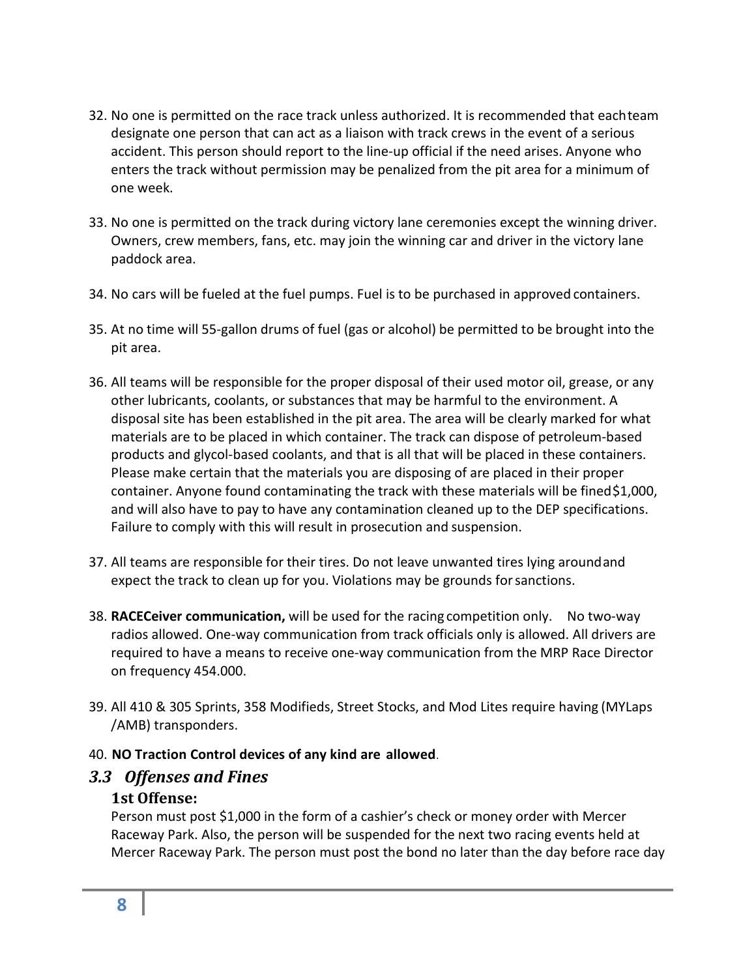- 32. No one is permitted on the race track unless authorized. It is recommended that eachteam designate one person that can act as a liaison with track crews in the event of a serious accident. This person should report to the line-up official if the need arises. Anyone who enters the track without permission may be penalized from the pit area for a minimum of one week.
- 33. No one is permitted on the track during victory lane ceremonies except the winning driver. Owners, crew members, fans, etc. may join the winning car and driver in the victory lane paddock area.
- 34. No cars will be fueled at the fuel pumps. Fuel is to be purchased in approved containers.
- 35. At no time will 55-gallon drums of fuel (gas or alcohol) be permitted to be brought into the pit area.
- 36. All teams will be responsible for the proper disposal of their used motor oil, grease, or any other lubricants, coolants, or substances that may be harmful to the environment. A disposal site has been established in the pit area. The area will be clearly marked for what materials are to be placed in which container. The track can dispose of petroleum-based products and glycol-based coolants, and that is all that will be placed in these containers. Please make certain that the materials you are disposing of are placed in their proper container. Anyone found contaminating the track with these materials will be fined\$1,000, and will also have to pay to have any contamination cleaned up to the DEP specifications. Failure to comply with this will result in prosecution and suspension.
- 37. All teams are responsible for their tires. Do not leave unwanted tires lying aroundand expect the track to clean up for you. Violations may be grounds forsanctions.
- 38. **RACECeiver communication,** will be used for the racing competition only. No two-way radios allowed. One-way communication from track officials only is allowed. All drivers are required to have a means to receive one-way communication from the MRP Race Director on frequency 454.000.
- 39. All 410 & 305 Sprints, 358 Modifieds, Street Stocks, and Mod Lites require having (MYLaps /AMB) transponders.

#### <span id="page-7-0"></span>40. **NO Traction Control devices of any kind are allowed**.

#### <span id="page-7-1"></span>*3.3 Offenses and Fines*

#### **1st Offense:**

Person must post \$1,000 in the form of a cashier's check or money order with Mercer Raceway Park. Also, the person will be suspended for the next two racing events held at Mercer Raceway Park. The person must post the bond no later than the day before race day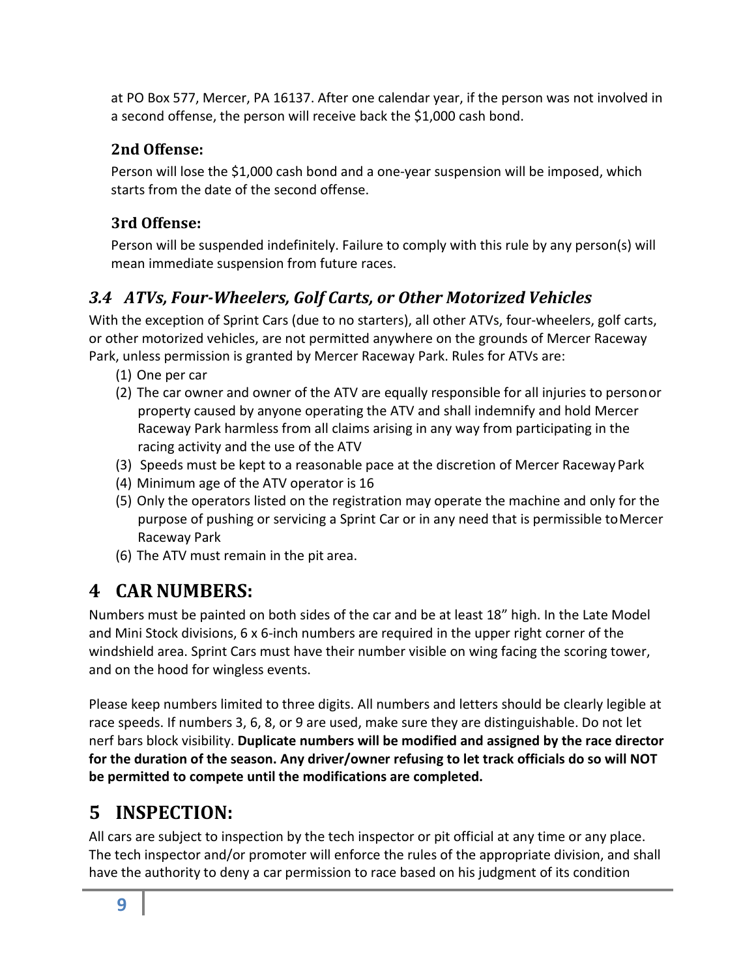at PO Box 577, Mercer, PA 16137. After one calendar year, if the person was not involved in a second offense, the person will receive back the \$1,000 cash bond.

### <span id="page-8-0"></span>**2nd Offense:**

Person will lose the \$1,000 cash bond and a one-year suspension will be imposed, which starts from the date of the second offense.

### <span id="page-8-1"></span>**3rd Offense:**

Person will be suspended indefinitely. Failure to comply with this rule by any person(s) will mean immediate suspension from future races.

### <span id="page-8-2"></span>*3.4 ATVs, Four-Wheelers, Golf Carts, or Other Motorized Vehicles*

With the exception of Sprint Cars (due to no starters), all other ATVs, four-wheelers, golf carts, or other motorized vehicles, are not permitted anywhere on the grounds of Mercer Raceway Park, unless permission is granted by Mercer Raceway Park. Rules for ATVs are:

- (1) One per car
- (2) The car owner and owner of the ATV are equally responsible for all injuries to personor property caused by anyone operating the ATV and shall indemnify and hold Mercer Raceway Park harmless from all claims arising in any way from participating in the racing activity and the use of the ATV
- (3) Speeds must be kept to a reasonable pace at the discretion of Mercer Raceway Park
- (4) Minimum age of the ATV operator is 16
- (5) Only the operators listed on the registration may operate the machine and only for the purpose of pushing or servicing a Sprint Car or in any need that is permissible toMercer Raceway Park
- (6) The ATV must remain in the pit area.

# <span id="page-8-3"></span>**4 CAR NUMBERS:**

Numbers must be painted on both sides of the car and be at least 18" high. In the Late Model and Mini Stock divisions, 6 x 6-inch numbers are required in the upper right corner of the windshield area. Sprint Cars must have their number visible on wing facing the scoring tower, and on the hood for wingless events.

Please keep numbers limited to three digits. All numbers and letters should be clearly legible at race speeds. If numbers 3, 6, 8, or 9 are used, make sure they are distinguishable. Do not let nerf bars block visibility. **Duplicate numbers will be modified and assigned by the race director for the duration of the season. Any driver/owner refusing to let track officials do so will NOT be permitted to compete until the modifications are completed.**

# <span id="page-8-4"></span>**5 INSPECTION:**

All cars are subject to inspection by the tech inspector or pit official at any time or any place. The tech inspector and/or promoter will enforce the rules of the appropriate division, and shall have the authority to deny a car permission to race based on his judgment of its condition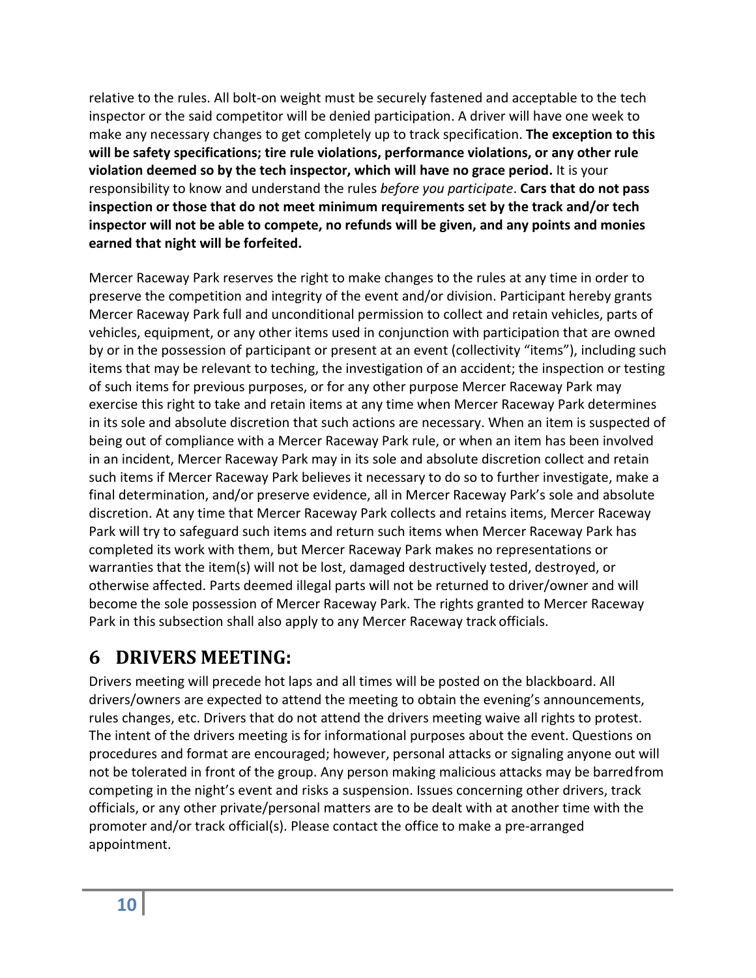relative to the rules. All bolt-on weight must be securely fastened and acceptable to the tech inspector or the said competitor will be denied participation. A driver will have one week to make any necessary changes to get completely up to track specification. **The exception to this will be safety specifications; tire rule violations, performance violations, or any other rule violation deemed so by the tech inspector, which will have no grace period.** It is your responsibility to know and understand the rules *before you participate*. **Cars that do not pass inspection or those that do not meet minimum requirements set by the track and/or tech inspector will not be able to compete, no refunds will be given, and any points and monies earned that night will be forfeited.**

Mercer Raceway Park reserves the right to make changes to the rules at any time in order to preserve the competition and integrity of the event and/or division. Participant hereby grants Mercer Raceway Park full and unconditional permission to collect and retain vehicles, parts of vehicles, equipment, or any other items used in conjunction with participation that are owned by or in the possession of participant or present at an event (collectivity "items"), including such items that may be relevant to teching, the investigation of an accident; the inspection or testing of such items for previous purposes, or for any other purpose Mercer Raceway Park may exercise this right to take and retain items at any time when Mercer Raceway Park determines in its sole and absolute discretion that such actions are necessary. When an item is suspected of being out of compliance with a Mercer Raceway Park rule, or when an item has been involved in an incident, Mercer Raceway Park may in its sole and absolute discretion collect and retain such items if Mercer Raceway Park believes it necessary to do so to further investigate, make a final determination, and/or preserve evidence, all in Mercer Raceway Park's sole and absolute discretion. At any time that Mercer Raceway Park collects and retains items, Mercer Raceway Park will try to safeguard such items and return such items when Mercer Raceway Park has completed its work with them, but Mercer Raceway Park makes no representations or warranties that the item(s) will not be lost, damaged destructively tested, destroyed, or otherwise affected. Parts deemed illegal parts will not be returned to driver/owner and will become the sole possession of Mercer Raceway Park. The rights granted to Mercer Raceway Park in this subsection shall also apply to any Mercer Raceway track officials.

# <span id="page-9-0"></span>**6 DRIVERS MEETING:**

Drivers meeting will precede hot laps and all times will be posted on the blackboard. All drivers/owners are expected to attend the meeting to obtain the evening's announcements, rules changes, etc. Drivers that do not attend the drivers meeting waive all rights to protest. The intent of the drivers meeting is for informational purposes about the event. Questions on procedures and format are encouraged; however, personal attacks or signaling anyone out will not be tolerated in front of the group. Any person making malicious attacks may be barredfrom competing in the night's event and risks a suspension. Issues concerning other drivers, track officials, or any other private/personal matters are to be dealt with at another time with the promoter and/or track official(s). Please contact the office to make a pre-arranged appointment.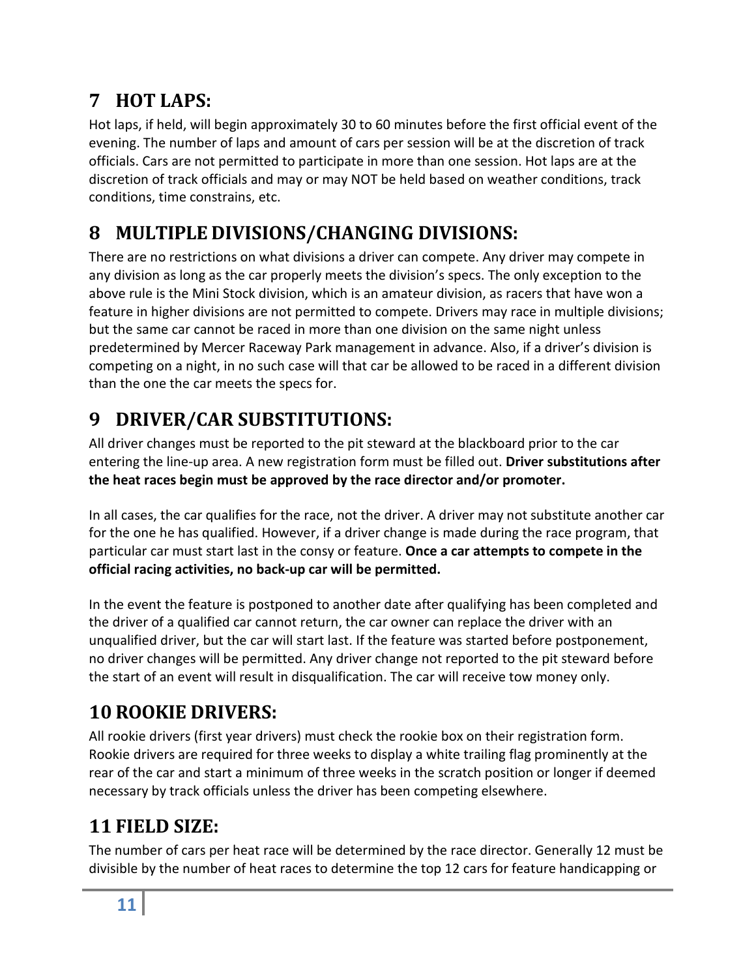# <span id="page-10-0"></span>**7 HOT LAPS:**

Hot laps, if held, will begin approximately 30 to 60 minutes before the first official event of the evening. The number of laps and amount of cars per session will be at the discretion of track officials. Cars are not permitted to participate in more than one session. Hot laps are at the discretion of track officials and may or may NOT be held based on weather conditions, track conditions, time constrains, etc.

# <span id="page-10-1"></span>**8 MULTIPLE DIVISIONS/CHANGING DIVISIONS:**

There are no restrictions on what divisions a driver can compete. Any driver may compete in any division as long as the car properly meets the division's specs. The only exception to the above rule is the Mini Stock division, which is an amateur division, as racers that have won a feature in higher divisions are not permitted to compete. Drivers may race in multiple divisions; but the same car cannot be raced in more than one division on the same night unless predetermined by Mercer Raceway Park management in advance. Also, if a driver's division is competing on a night, in no such case will that car be allowed to be raced in a different division than the one the car meets the specs for.

# <span id="page-10-2"></span>**9 DRIVER/CAR SUBSTITUTIONS:**

All driver changes must be reported to the pit steward at the blackboard prior to the car entering the line-up area. A new registration form must be filled out. **Driver substitutions after the heat races begin must be approved by the race director and/or promoter.**

In all cases, the car qualifies for the race, not the driver. A driver may not substitute another car for the one he has qualified. However, if a driver change is made during the race program, that particular car must start last in the consy or feature. **Once a car attempts to compete in the official racing activities, no back-up car will be permitted.**

In the event the feature is postponed to another date after qualifying has been completed and the driver of a qualified car cannot return, the car owner can replace the driver with an unqualified driver, but the car will start last. If the feature was started before postponement, no driver changes will be permitted. Any driver change not reported to the pit steward before the start of an event will result in disqualification. The car will receive tow money only.

# <span id="page-10-3"></span>**10 ROOKIE DRIVERS:**

All rookie drivers (first year drivers) must check the rookie box on their registration form. Rookie drivers are required for three weeks to display a white trailing flag prominently at the rear of the car and start a minimum of three weeks in the scratch position or longer if deemed necessary by track officials unless the driver has been competing elsewhere.

# <span id="page-10-4"></span>**11 FIELD SIZE:**

The number of cars per heat race will be determined by the race director. Generally 12 must be divisible by the number of heat races to determine the top 12 cars for feature handicapping or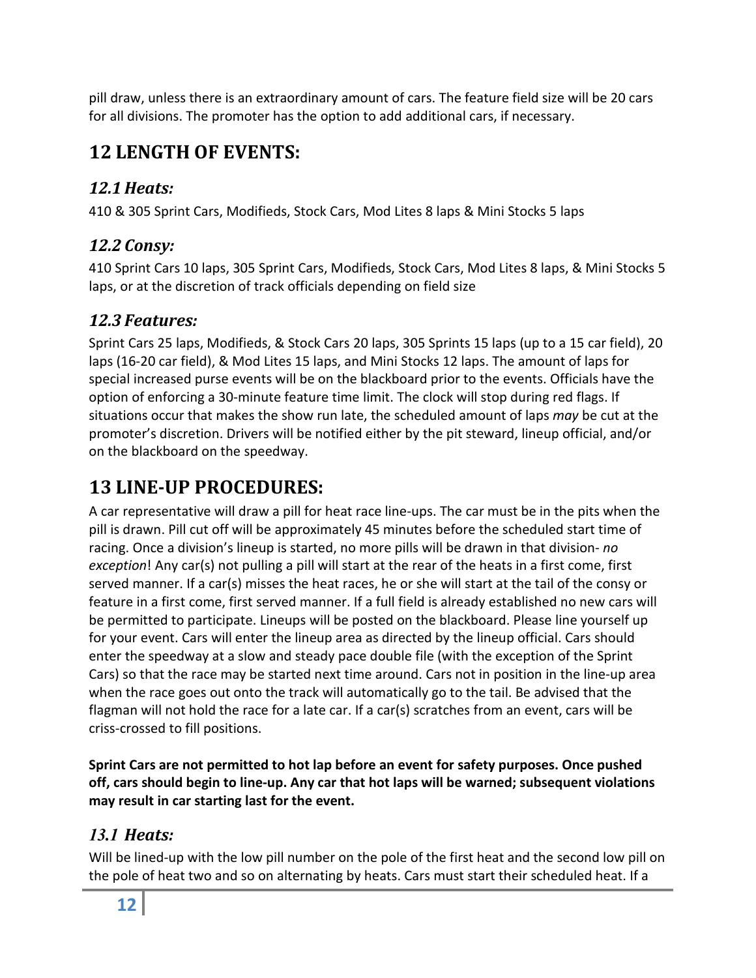pill draw, unless there is an extraordinary amount of cars. The feature field size will be 20 cars for all divisions. The promoter has the option to add additional cars, if necessary.

## <span id="page-11-0"></span>**12 LENGTH OF EVENTS:**

### <span id="page-11-1"></span>*12.1Heats:*

410 & 305 Sprint Cars, Modifieds, Stock Cars, Mod Lites 8 laps & Mini Stocks 5 laps

### <span id="page-11-2"></span>*12.2 Consy:*

410 Sprint Cars 10 laps, 305 Sprint Cars, Modifieds, Stock Cars, Mod Lites 8 laps, & Mini Stocks 5 laps, or at the discretion of track officials depending on field size

### <span id="page-11-3"></span>*12.3 Features:*

Sprint Cars 25 laps, Modifieds, & Stock Cars 20 laps, 305 Sprints 15 laps (up to a 15 car field), 20 laps (16-20 car field), & Mod Lites 15 laps, and Mini Stocks 12 laps. The amount of laps for special increased purse events will be on the blackboard prior to the events. Officials have the option of enforcing a 30-minute feature time limit. The clock will stop during red flags. If situations occur that makes the show run late, the scheduled amount of laps *may* be cut at the promoter's discretion. Drivers will be notified either by the pit steward, lineup official, and/or on the blackboard on the speedway.

## <span id="page-11-4"></span>**13 LINE-UP PROCEDURES:**

A car representative will draw a pill for heat race line-ups. The car must be in the pits when the pill is drawn. Pill cut off will be approximately 45 minutes before the scheduled start time of racing. Once a division's lineup is started, no more pills will be drawn in that division- *no exception*! Any car(s) not pulling a pill will start at the rear of the heats in a first come, first served manner. If a car(s) misses the heat races, he or she will start at the tail of the consy or feature in a first come, first served manner. If a full field is already established no new cars will be permitted to participate. Lineups will be posted on the blackboard. Please line yourself up for your event. Cars will enter the lineup area as directed by the lineup official. Cars should enter the speedway at a slow and steady pace double file (with the exception of the Sprint Cars) so that the race may be started next time around. Cars not in position in the line-up area when the race goes out onto the track will automatically go to the tail. Be advised that the flagman will not hold the race for a late car. If a car(s) scratches from an event, cars will be criss-crossed to fill positions.

**Sprint Cars are not permitted to hot lap before an event for safety purposes. Once pushed off, cars should begin to line-up. Any car that hot laps will be warned; subsequent violations may result in car starting last for the event.**

### <span id="page-11-5"></span>*13.1 Heats:*

Will be lined-up with the low pill number on the pole of the first heat and the second low pill on the pole of heat two and so on alternating by heats. Cars must start their scheduled heat. If a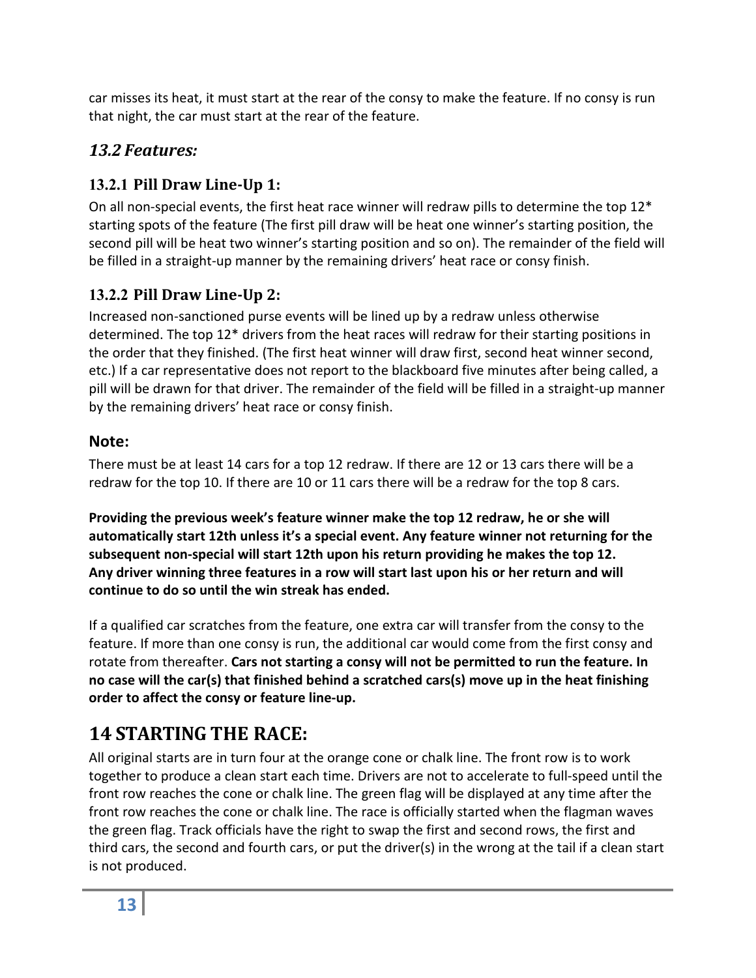car misses its heat, it must start at the rear of the consy to make the feature. If no consy is run that night, the car must start at the rear of the feature.

### <span id="page-12-0"></span>*13.2 Features:*

### <span id="page-12-1"></span>**13.2.1 Pill Draw Line-Up 1:**

On all non-special events, the first heat race winner will redraw pills to determine the top  $12^*$ starting spots of the feature (The first pill draw will be heat one winner's starting position, the second pill will be heat two winner's starting position and so on). The remainder of the field will be filled in a straight-up manner by the remaining drivers' heat race or consy finish.

### <span id="page-12-2"></span>**13.2.2 Pill Draw Line-Up 2:**

Increased non-sanctioned purse events will be lined up by a redraw unless otherwise determined. The top 12\* drivers from the heat races will redraw for their starting positions in the order that they finished. (The first heat winner will draw first, second heat winner second, etc.) If a car representative does not report to the blackboard five minutes after being called, a pill will be drawn for that driver. The remainder of the field will be filled in a straight-up manner by the remaining drivers' heat race or consy finish.

### **Note:**

There must be at least 14 cars for a top 12 redraw. If there are 12 or 13 cars there will be a redraw for the top 10. If there are 10 or 11 cars there will be a redraw for the top 8 cars.

**Providing the previous week's feature winner make the top 12 redraw, he or she will automatically start 12th unless it's a special event. Any feature winner not returning for the subsequent non-special will start 12th upon his return providing he makes the top 12. Any driver winning three features in a row will start last upon his or her return and will continue to do so until the win streak has ended.**

If a qualified car scratches from the feature, one extra car will transfer from the consy to the feature. If more than one consy is run, the additional car would come from the first consy and rotate from thereafter. **Cars not starting a consy will not be permitted to run the feature. In no case will the car(s) that finished behind a scratched cars(s) move up in the heat finishing order to affect the consy or feature line-up.**

# <span id="page-12-3"></span>**14 STARTING THE RACE:**

All original starts are in turn four at the orange cone or chalk line. The front row is to work together to produce a clean start each time. Drivers are not to accelerate to full-speed until the front row reaches the cone or chalk line. The green flag will be displayed at any time after the front row reaches the cone or chalk line. The race is officially started when the flagman waves the green flag. Track officials have the right to swap the first and second rows, the first and third cars, the second and fourth cars, or put the driver(s) in the wrong at the tail if a clean start is not produced.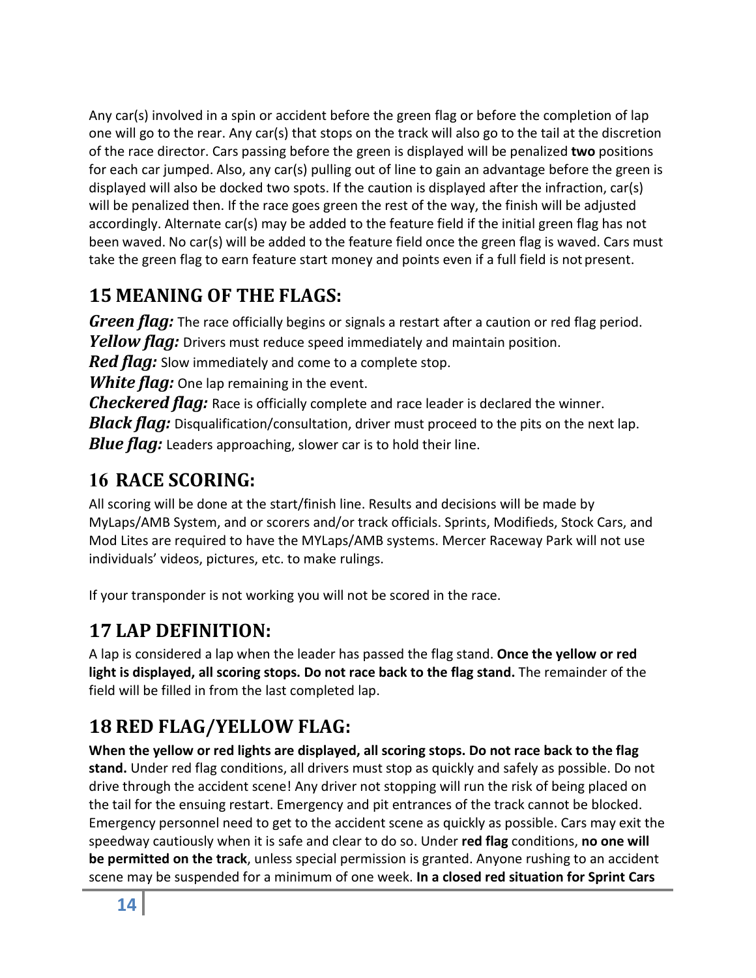Any car(s) involved in a spin or accident before the green flag or before the completion of lap one will go to the rear. Any car(s) that stops on the track will also go to the tail at the discretion of the race director. Cars passing before the green is displayed will be penalized **two** positions for each car jumped. Also, any car(s) pulling out of line to gain an advantage before the green is displayed will also be docked two spots. If the caution is displayed after the infraction, car(s) will be penalized then. If the race goes green the rest of the way, the finish will be adjusted accordingly. Alternate car(s) may be added to the feature field if the initial green flag has not been waved. No car(s) will be added to the feature field once the green flag is waved. Cars must take the green flag to earn feature start money and points even if a full field is not present.

## <span id="page-13-0"></span>**15 MEANING OF THE FLAGS:**

<span id="page-13-2"></span><span id="page-13-1"></span>*Green flag:* The race officially begins or signals a restart after a caution or red flag period. *Yellow flag:* Drivers must reduce speed immediately and maintain position.

<span id="page-13-3"></span>*Red flag:* Slow immediately and come to a complete stop.

<span id="page-13-7"></span><span id="page-13-6"></span><span id="page-13-4"></span>*White flag:* One lap remaining in the event.

<span id="page-13-5"></span>*Checkered flag:* Race is officially complete and race leader is declared the winner. **Black flag:** Disqualification/consultation, driver must proceed to the pits on the next lap. *Blue flag:* Leaders approaching, slower car is to hold their line.

## <span id="page-13-8"></span>**16 RACE SCORING:**

All scoring will be done at the start/finish line. Results and decisions will be made by MyLaps/AMB System, and or scorers and/or track officials. Sprints, Modifieds, Stock Cars, and Mod Lites are required to have the MYLaps/AMB systems. Mercer Raceway Park will not use individuals' videos, pictures, etc. to make rulings.

If your transponder is not working you will not be scored in the race.

## <span id="page-13-9"></span>**17 LAP DEFINITION:**

A lap is considered a lap when the leader has passed the flag stand. **Once the yellow or red light is displayed, all scoring stops. Do not race back to the flag stand.** The remainder of the field will be filled in from the last completed lap.

# <span id="page-13-10"></span>**18 RED FLAG/YELLOW FLAG:**

**When the yellow or red lights are displayed, all scoring stops. Do not race back to the flag stand.** Under red flag conditions, all drivers must stop as quickly and safely as possible. Do not drive through the accident scene! Any driver not stopping will run the risk of being placed on the tail for the ensuing restart. Emergency and pit entrances of the track cannot be blocked. Emergency personnel need to get to the accident scene as quickly as possible. Cars may exit the speedway cautiously when it is safe and clear to do so. Under **red flag** conditions, **no one will be permitted on the track**, unless special permission is granted. Anyone rushing to an accident scene may be suspended for a minimum of one week. **In a closed red situation for Sprint Cars**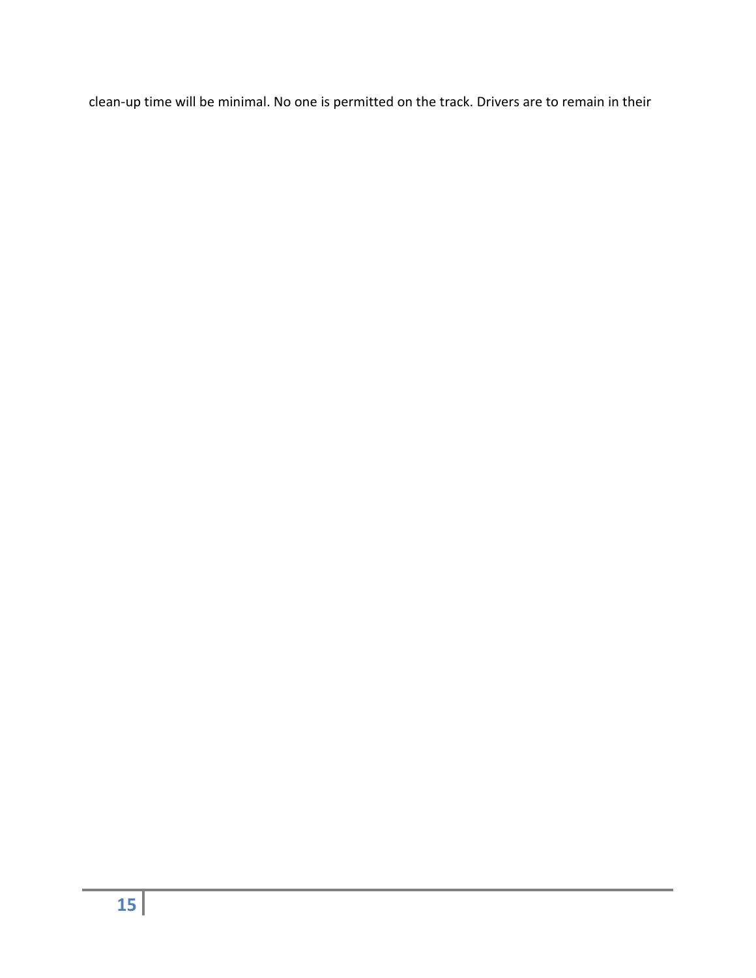clean-up time will be minimal. No one is permitted on the track. Drivers are to remain in their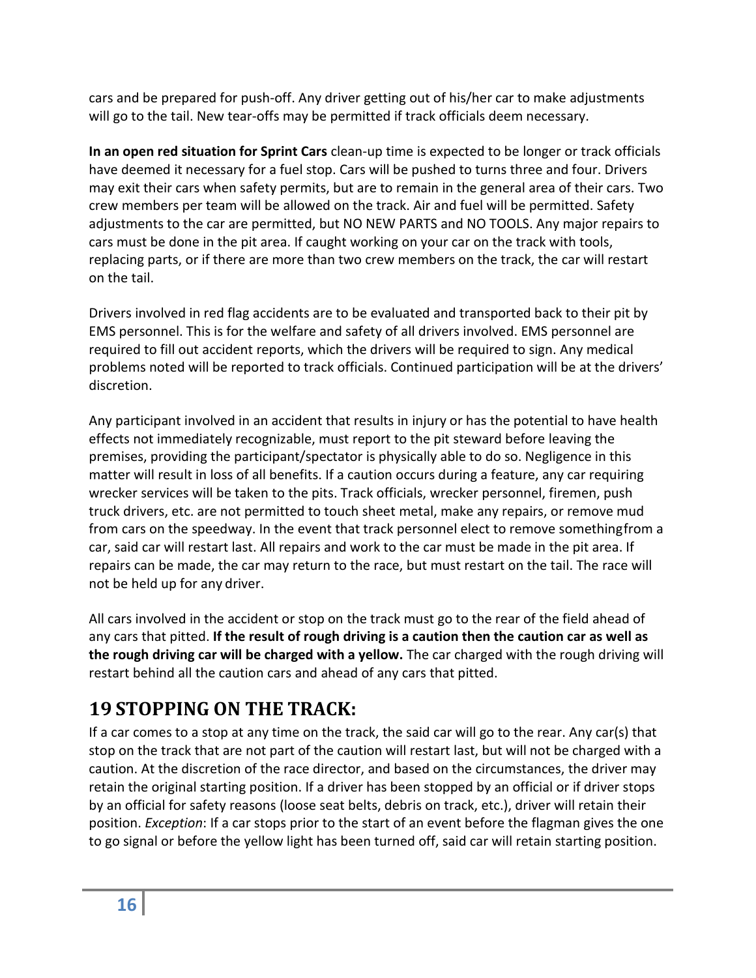cars and be prepared for push-off. Any driver getting out of his/her car to make adjustments will go to the tail. New tear-offs may be permitted if track officials deem necessary.

**In an open red situation for Sprint Cars** clean-up time is expected to be longer or track officials have deemed it necessary for a fuel stop. Cars will be pushed to turns three and four. Drivers may exit their cars when safety permits, but are to remain in the general area of their cars. Two crew members per team will be allowed on the track. Air and fuel will be permitted. Safety adjustments to the car are permitted, but NO NEW PARTS and NO TOOLS. Any major repairs to cars must be done in the pit area. If caught working on your car on the track with tools, replacing parts, or if there are more than two crew members on the track, the car will restart on the tail.

Drivers involved in red flag accidents are to be evaluated and transported back to their pit by EMS personnel. This is for the welfare and safety of all drivers involved. EMS personnel are required to fill out accident reports, which the drivers will be required to sign. Any medical problems noted will be reported to track officials. Continued participation will be at the drivers' discretion.

Any participant involved in an accident that results in injury or has the potential to have health effects not immediately recognizable, must report to the pit steward before leaving the premises, providing the participant/spectator is physically able to do so. Negligence in this matter will result in loss of all benefits. If a caution occurs during a feature, any car requiring wrecker services will be taken to the pits. Track officials, wrecker personnel, firemen, push truck drivers, etc. are not permitted to touch sheet metal, make any repairs, or remove mud from cars on the speedway. In the event that track personnel elect to remove somethingfrom a car, said car will restart last. All repairs and work to the car must be made in the pit area. If repairs can be made, the car may return to the race, but must restart on the tail. The race will not be held up for any driver.

All cars involved in the accident or stop on the track must go to the rear of the field ahead of any cars that pitted. **If the result of rough driving is a caution then the caution car as well as the rough driving car will be charged with a yellow.** The car charged with the rough driving will restart behind all the caution cars and ahead of any cars that pitted.

## <span id="page-15-0"></span>**19 STOPPING ON THE TRACK:**

If a car comes to a stop at any time on the track, the said car will go to the rear. Any car(s) that stop on the track that are not part of the caution will restart last, but will not be charged with a caution. At the discretion of the race director, and based on the circumstances, the driver may retain the original starting position. If a driver has been stopped by an official or if driver stops by an official for safety reasons (loose seat belts, debris on track, etc.), driver will retain their position. *Exception*: If a car stops prior to the start of an event before the flagman gives the one to go signal or before the yellow light has been turned off, said car will retain starting position.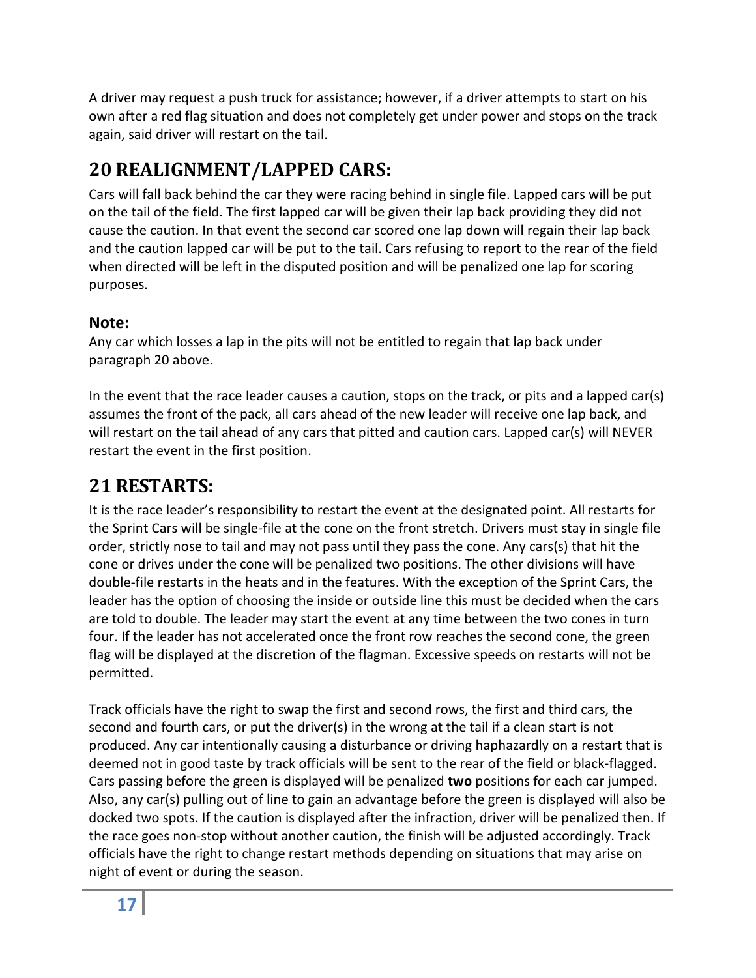A driver may request a push truck for assistance; however, if a driver attempts to start on his own after a red flag situation and does not completely get under power and stops on the track again, said driver will restart on the tail.

# <span id="page-16-0"></span>**20 REALIGNMENT/LAPPED CARS:**

Cars will fall back behind the car they were racing behind in single file. Lapped cars will be put on the tail of the field. The first lapped car will be given their lap back providing they did not cause the caution. In that event the second car scored one lap down will regain their lap back and the caution lapped car will be put to the tail. Cars refusing to report to the rear of the field when directed will be left in the disputed position and will be penalized one lap for scoring purposes.

### **Note:**

Any car which losses a lap in the pits will not be entitled to regain that lap back under paragraph 20 above.

In the event that the race leader causes a caution, stops on the track, or pits and a lapped car(s) assumes the front of the pack, all cars ahead of the new leader will receive one lap back, and will restart on the tail ahead of any cars that pitted and caution cars. Lapped car(s) will NEVER restart the event in the first position.

## <span id="page-16-1"></span>**21 RESTARTS:**

It is the race leader's responsibility to restart the event at the designated point. All restarts for the Sprint Cars will be single-file at the cone on the front stretch. Drivers must stay in single file order, strictly nose to tail and may not pass until they pass the cone. Any cars(s) that hit the cone or drives under the cone will be penalized two positions. The other divisions will have double-file restarts in the heats and in the features. With the exception of the Sprint Cars, the leader has the option of choosing the inside or outside line this must be decided when the cars are told to double. The leader may start the event at any time between the two cones in turn four. If the leader has not accelerated once the front row reaches the second cone, the green flag will be displayed at the discretion of the flagman. Excessive speeds on restarts will not be permitted.

Track officials have the right to swap the first and second rows, the first and third cars, the second and fourth cars, or put the driver(s) in the wrong at the tail if a clean start is not produced. Any car intentionally causing a disturbance or driving haphazardly on a restart that is deemed not in good taste by track officials will be sent to the rear of the field or black-flagged. Cars passing before the green is displayed will be penalized **two** positions for each car jumped. Also, any car(s) pulling out of line to gain an advantage before the green is displayed will also be docked two spots. If the caution is displayed after the infraction, driver will be penalized then. If the race goes non-stop without another caution, the finish will be adjusted accordingly. Track officials have the right to change restart methods depending on situations that may arise on night of event or during the season.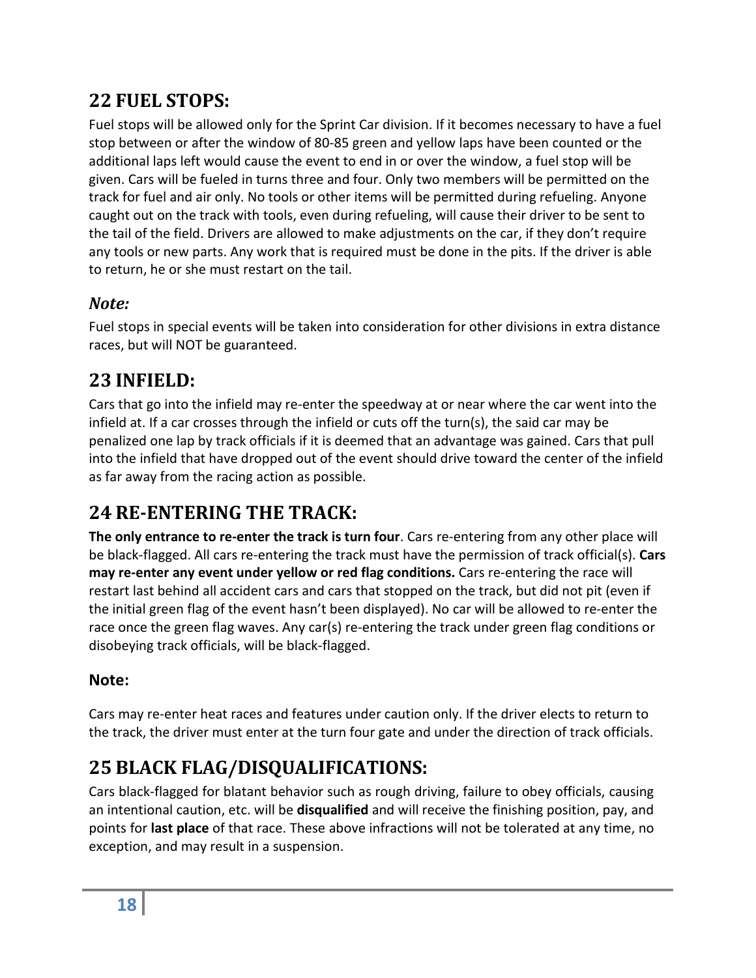## <span id="page-17-0"></span>**22 FUEL STOPS:**

Fuel stops will be allowed only for the Sprint Car division. If it becomes necessary to have a fuel stop between or after the window of 80-85 green and yellow laps have been counted or the additional laps left would cause the event to end in or over the window, a fuel stop will be given. Cars will be fueled in turns three and four. Only two members will be permitted on the track for fuel and air only. No tools or other items will be permitted during refueling. Anyone caught out on the track with tools, even during refueling, will cause their driver to be sent to the tail of the field. Drivers are allowed to make adjustments on the car, if they don't require any tools or new parts. Any work that is required must be done in the pits. If the driver is able to return, he or she must restart on the tail.

### <span id="page-17-1"></span>*Note:*

Fuel stops in special events will be taken into consideration for other divisions in extra distance races, but will NOT be guaranteed.

## <span id="page-17-2"></span>**23 INFIELD:**

Cars that go into the infield may re-enter the speedway at or near where the car went into the infield at. If a car crosses through the infield or cuts off the turn(s), the said car may be penalized one lap by track officials if it is deemed that an advantage was gained. Cars that pull into the infield that have dropped out of the event should drive toward the center of the infield as far away from the racing action as possible.

## <span id="page-17-3"></span>**24 RE-ENTERING THE TRACK:**

**The only entrance to re-enter the track is turn four**. Cars re-entering from any other place will be black-flagged. All cars re-entering the track must have the permission of track official(s). **Cars may re-enter any event under yellow or red flag conditions.** Cars re-entering the race will restart last behind all accident cars and cars that stopped on the track, but did not pit (even if the initial green flag of the event hasn't been displayed). No car will be allowed to re-enter the race once the green flag waves. Any car(s) re-entering the track under green flag conditions or disobeying track officials, will be black-flagged.

### **Note:**

Cars may re-enter heat races and features under caution only. If the driver elects to return to the track, the driver must enter at the turn four gate and under the direction of track officials.

# <span id="page-17-4"></span>**25 BLACK FLAG/DISQUALIFICATIONS:**

Cars black-flagged for blatant behavior such as rough driving, failure to obey officials, causing an intentional caution, etc. will be **disqualified** and will receive the finishing position, pay, and points for **last place** of that race. These above infractions will not be tolerated at any time, no exception, and may result in a suspension.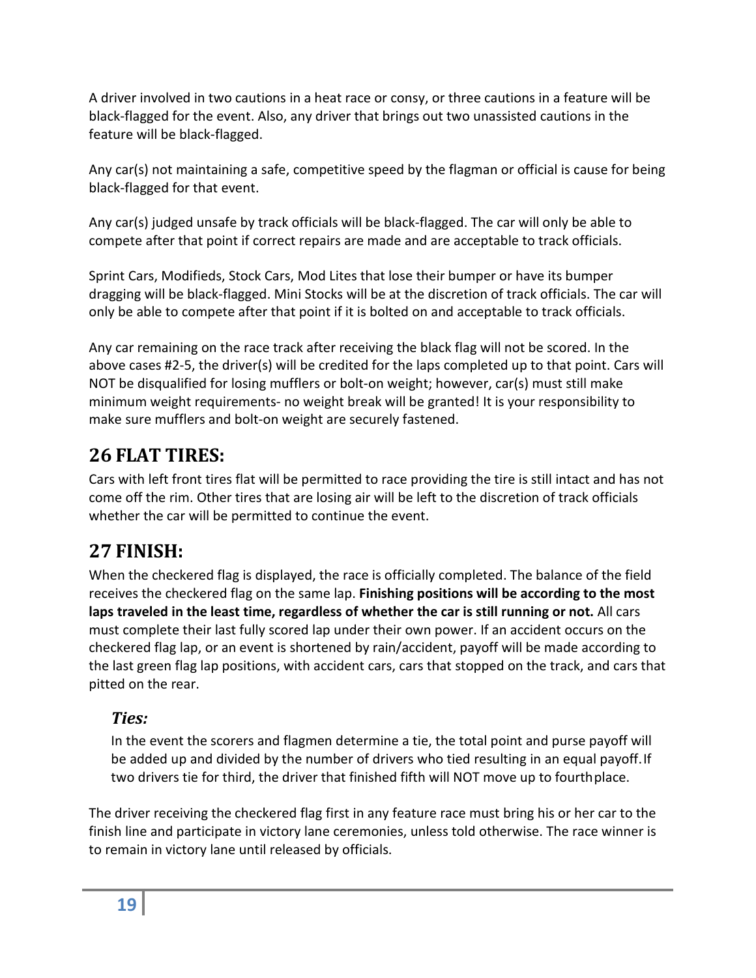A driver involved in two cautions in a heat race or consy, or three cautions in a feature will be black-flagged for the event. Also, any driver that brings out two unassisted cautions in the feature will be black-flagged.

Any car(s) not maintaining a safe, competitive speed by the flagman or official is cause for being black-flagged for that event.

Any car(s) judged unsafe by track officials will be black-flagged. The car will only be able to compete after that point if correct repairs are made and are acceptable to track officials.

Sprint Cars, Modifieds, Stock Cars, Mod Lites that lose their bumper or have its bumper dragging will be black-flagged. Mini Stocks will be at the discretion of track officials. The car will only be able to compete after that point if it is bolted on and acceptable to track officials.

Any car remaining on the race track after receiving the black flag will not be scored. In the above cases #2-5, the driver(s) will be credited for the laps completed up to that point. Cars will NOT be disqualified for losing mufflers or bolt-on weight; however, car(s) must still make minimum weight requirements- no weight break will be granted! It is your responsibility to make sure mufflers and bolt-on weight are securely fastened.

## <span id="page-18-0"></span>**26 FLAT TIRES:**

Cars with left front tires flat will be permitted to race providing the tire is still intact and has not come off the rim. Other tires that are losing air will be left to the discretion of track officials whether the car will be permitted to continue the event.

## <span id="page-18-1"></span>**27 FINISH:**

When the checkered flag is displayed, the race is officially completed. The balance of the field receives the checkered flag on the same lap. **Finishing positions will be according to the most laps traveled in the least time, regardless of whether the car is still running or not.** All cars must complete their last fully scored lap under their own power. If an accident occurs on the checkered flag lap, or an event is shortened by rain/accident, payoff will be made according to the last green flag lap positions, with accident cars, cars that stopped on the track, and cars that pitted on the rear.

### <span id="page-18-2"></span>*Ties:*

In the event the scorers and flagmen determine a tie, the total point and purse payoff will be added up and divided by the number of drivers who tied resulting in an equal payoff.If two drivers tie for third, the driver that finished fifth will NOT move up to fourthplace.

The driver receiving the checkered flag first in any feature race must bring his or her car to the finish line and participate in victory lane ceremonies, unless told otherwise. The race winner is to remain in victory lane until released by officials.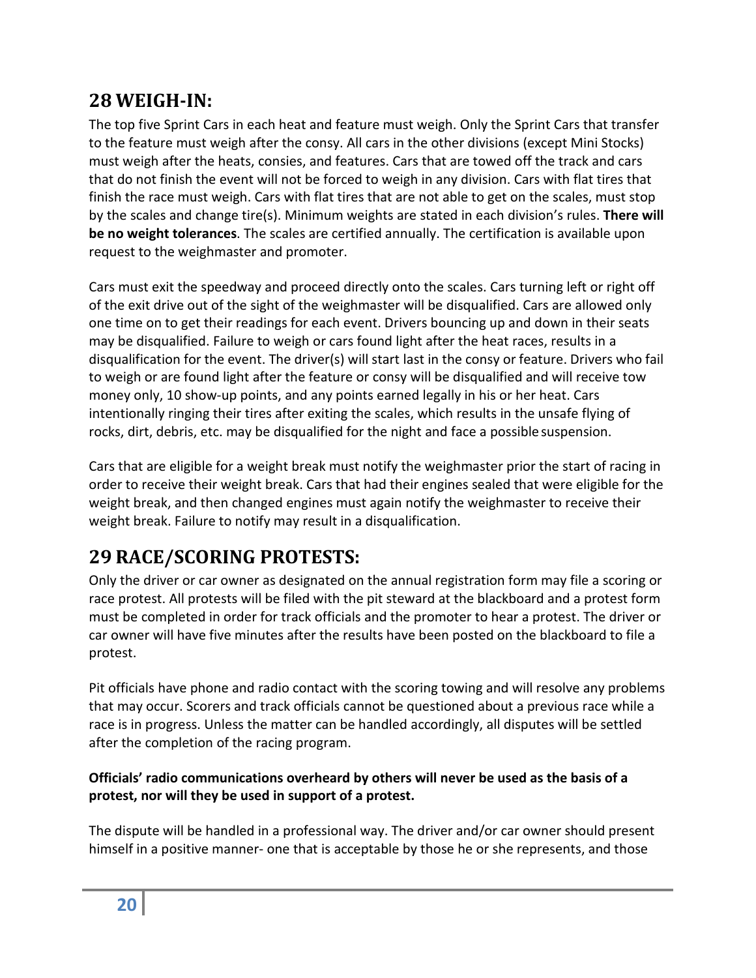## <span id="page-19-0"></span>**28 WEIGH-IN:**

The top five Sprint Cars in each heat and feature must weigh. Only the Sprint Cars that transfer to the feature must weigh after the consy. All cars in the other divisions (except Mini Stocks) must weigh after the heats, consies, and features. Cars that are towed off the track and cars that do not finish the event will not be forced to weigh in any division. Cars with flat tires that finish the race must weigh. Cars with flat tires that are not able to get on the scales, must stop by the scales and change tire(s). Minimum weights are stated in each division's rules. **There will be no weight tolerances**. The scales are certified annually. The certification is available upon request to the weighmaster and promoter.

Cars must exit the speedway and proceed directly onto the scales. Cars turning left or right off of the exit drive out of the sight of the weighmaster will be disqualified. Cars are allowed only one time on to get their readings for each event. Drivers bouncing up and down in their seats may be disqualified. Failure to weigh or cars found light after the heat races, results in a disqualification for the event. The driver(s) will start last in the consy or feature. Drivers who fail to weigh or are found light after the feature or consy will be disqualified and will receive tow money only, 10 show-up points, and any points earned legally in his or her heat. Cars intentionally ringing their tires after exiting the scales, which results in the unsafe flying of rocks, dirt, debris, etc. may be disqualified for the night and face a possible suspension.

Cars that are eligible for a weight break must notify the weighmaster prior the start of racing in order to receive their weight break. Cars that had their engines sealed that were eligible for the weight break, and then changed engines must again notify the weighmaster to receive their weight break. Failure to notify may result in a disqualification.

# <span id="page-19-1"></span>**29 RACE/SCORING PROTESTS:**

Only the driver or car owner as designated on the annual registration form may file a scoring or race protest. All protests will be filed with the pit steward at the blackboard and a protest form must be completed in order for track officials and the promoter to hear a protest. The driver or car owner will have five minutes after the results have been posted on the blackboard to file a protest.

Pit officials have phone and radio contact with the scoring towing and will resolve any problems that may occur. Scorers and track officials cannot be questioned about a previous race while a race is in progress. Unless the matter can be handled accordingly, all disputes will be settled after the completion of the racing program.

#### **Officials' radio communications overheard by others will never be used as the basis of a protest, nor will they be used in support of a protest.**

The dispute will be handled in a professional way. The driver and/or car owner should present himself in a positive manner- one that is acceptable by those he or she represents, and those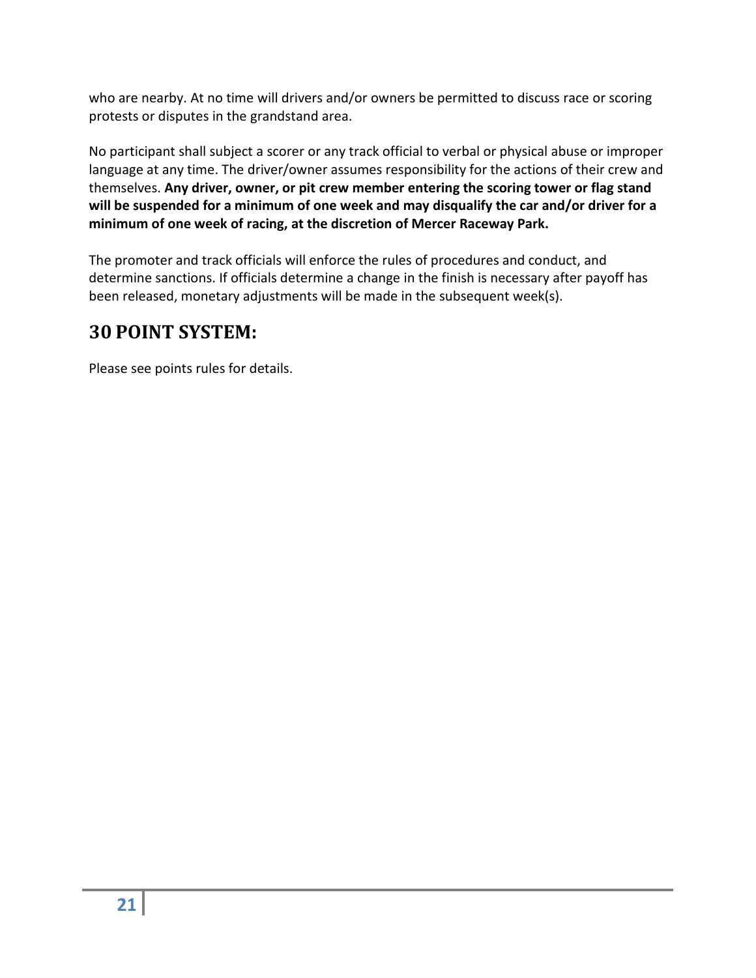who are nearby. At no time will drivers and/or owners be permitted to discuss race or scoring protests or disputes in the grandstand area.

No participant shall subject a scorer or any track official to verbal or physical abuse or improper language at any time. The driver/owner assumes responsibility for the actions of their crew and themselves. **Any driver, owner, or pit crew member entering the scoring tower or flag stand will be suspended for a minimum of one week and may disqualify the car and/or driver for a minimum of one week of racing, at the discretion of Mercer Raceway Park.**

The promoter and track officials will enforce the rules of procedures and conduct, and determine sanctions. If officials determine a change in the finish is necessary after payoff has been released, monetary adjustments will be made in the subsequent week(s).

## <span id="page-20-0"></span>**30 POINT SYSTEM:**

Please see points rules for details.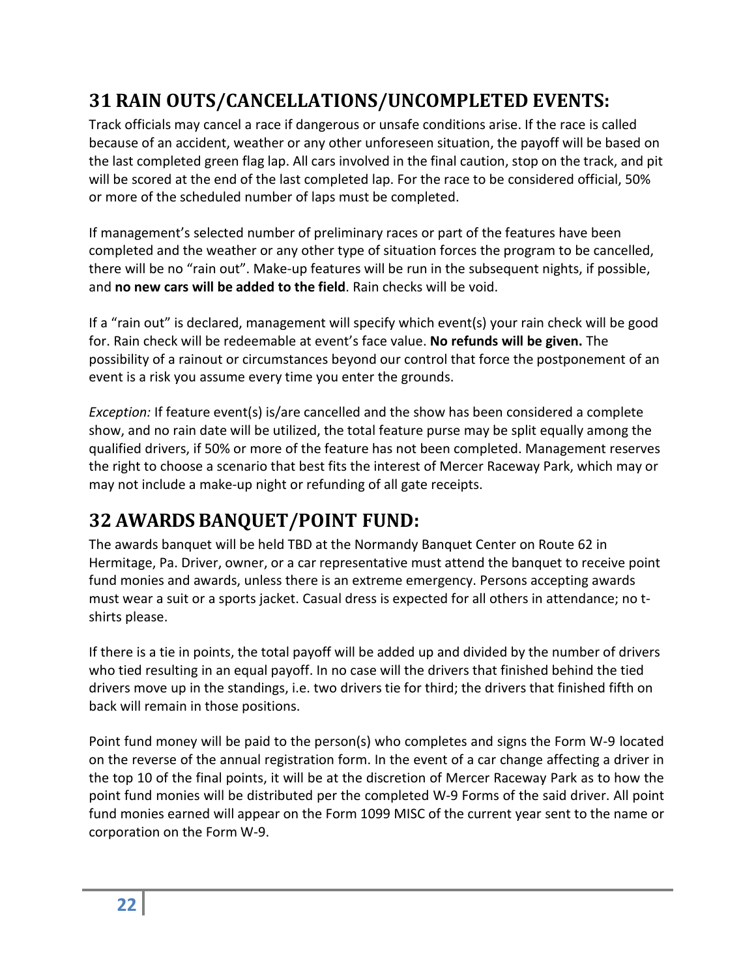## <span id="page-21-0"></span>**31 RAIN OUTS/CANCELLATIONS/UNCOMPLETED EVENTS:**

Track officials may cancel a race if dangerous or unsafe conditions arise. If the race is called because of an accident, weather or any other unforeseen situation, the payoff will be based on the last completed green flag lap. All cars involved in the final caution, stop on the track, and pit will be scored at the end of the last completed lap. For the race to be considered official, 50% or more of the scheduled number of laps must be completed.

If management's selected number of preliminary races or part of the features have been completed and the weather or any other type of situation forces the program to be cancelled, there will be no "rain out". Make-up features will be run in the subsequent nights, if possible, and **no new cars will be added to the field**. Rain checks will be void.

If a "rain out" is declared, management will specify which event(s) your rain check will be good for. Rain check will be redeemable at event's face value. **No refunds will be given.** The possibility of a rainout or circumstances beyond our control that force the postponement of an event is a risk you assume every time you enter the grounds.

*Exception:* If feature event(s) is/are cancelled and the show has been considered a complete show, and no rain date will be utilized, the total feature purse may be split equally among the qualified drivers, if 50% or more of the feature has not been completed. Management reserves the right to choose a scenario that best fits the interest of Mercer Raceway Park, which may or may not include a make-up night or refunding of all gate receipts.

# <span id="page-21-1"></span>**32 AWARDS BANQUET/POINT FUND:**

The awards banquet will be held TBD at the Normandy Banquet Center on Route 62 in Hermitage, Pa. Driver, owner, or a car representative must attend the banquet to receive point fund monies and awards, unless there is an extreme emergency. Persons accepting awards must wear a suit or a sports jacket. Casual dress is expected for all others in attendance; no tshirts please.

If there is a tie in points, the total payoff will be added up and divided by the number of drivers who tied resulting in an equal payoff. In no case will the drivers that finished behind the tied drivers move up in the standings, i.e. two drivers tie for third; the drivers that finished fifth on back will remain in those positions.

Point fund money will be paid to the person(s) who completes and signs the Form W-9 located on the reverse of the annual registration form. In the event of a car change affecting a driver in the top 10 of the final points, it will be at the discretion of Mercer Raceway Park as to how the point fund monies will be distributed per the completed W-9 Forms of the said driver. All point fund monies earned will appear on the Form 1099 MISC of the current year sent to the name or corporation on the Form W-9.